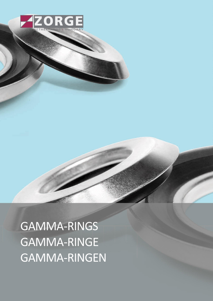

GAMMA-RINGS GAMMA-RINGE GAMMA-RINGEN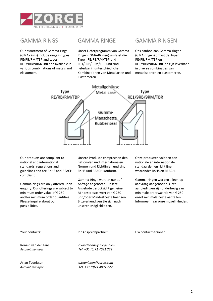

Our assortment of Gamma-rings (GMA-rings) include rings in types RE/RB/RM/TBP and types RE1/9RB/9RM/TBR and available in various combinations of metals and elastomers.

Unser Lieferprogramm von Gamma-Ringen (GMA-Ringen) umfasst die Typen RE/RB/RM/TBP und RE1/9RB/9RM/TBR und sind lieferbar in unterschiedlichen Kombinationen von Metallarten und Elastomeren.

# GAMMA-RINGS GAMMA-RINGE GAMMA-RINGEN

Ons aanbod aan Gamma-ringen (GMA ringen) omvat de typen RE/RB/RM/TBP en RE1/9RB/9RM/TBR, en zijn leverbaar in diverse combinaties van metaalsoorten en elastomeren.



Our products are compliant to national and international standards, regulations and guidelines and are RoHS and REACH compliant.

Gamma-rings are only offered upon enquiry. Our offerings are subject to minimum order value of € 250 and/or minimum order quantities. Please inquire about our possibilities.

Unsere Produkte entsprechen den nationalen und internationalen Normen und Richtlinien und sind RoHS und REACH Konform.

Gamma-Ringe werden nur auf Anfrage angeboten. Unsere Angebote berücksichtigen einen Mindestbestellwert von € 250 und/oder Mindestbestellmengen. Bitte erkundigen Sie sich nach unseren Möglichkeiten.

Onze producten voldoen aan nationale en internationale standaarden en richtlijnen waaronder RoHS en REACH.

Gamma-ringen worden alleen op aanvraag aangeboden. Onze aanbiedingen zijn onderhevig aan minimale orderwaarde van € 250 en/of minimale bestelaantallen. Informeer naar onze mogelijkheden.

| Your contacts: |  |
|----------------|--|
|                |  |

Ihr Ansprechpartner: Vw contactpersonen:

Ronald van der Lans *r.vanderlans@zorge.com Account manager Tel. +31 (0)71 4091 222*

Arjan Teunissen *a.teunissen@zorge.com Account manager Tel. +31 (0)71 4091 227*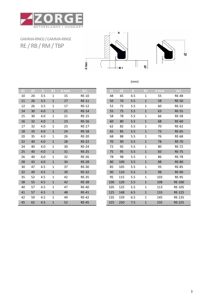

GAMMA-RINGS/ GAMMA-RINGE RE / RB/ RM/ TBP



(mm)

| d1 | d2 | $\mathbf b$ | <b>B1</b>    | d max. | Art.         | d1  | d2  | $\mathbf b$ | <b>B1</b>    | d max | Art.         |
|----|----|-------------|--------------|--------|--------------|-----|-----|-------------|--------------|-------|--------------|
| 10 | 24 | 3.5         | $\mathbf{1}$ | 15     | <b>RE-10</b> | 48  | 65  | 4.5         | 1            | 55    | $RE-4$       |
| 11 | 26 | 3.5         | $\mathbf{1}$ | 17     | $RE-11$      | 50  | 70  | 5.5         | $1\,$        | 58    | $RE-5$       |
| 12 | 26 | 3.5         | $\mathbf{1}$ | 17     | <b>RE-12</b> | 52  | 72  | 5.5         | $\mathbf{1}$ | 60    | $RE-5$       |
| 14 | 30 | 4.0         | $\mathbf{1}$ | 21     | <b>RE-14</b> | 55  | 75  | 5.5         | $\mathbf 1$  | 63    | $RE-5$       |
| 15 | 30 | 4.0         | 1            | 21     | <b>RE-15</b> | 58  | 78  | 5.5         | 1            | 66    | $RE-5$       |
| 16 | 32 | 4.0         | $\mathbf{1}$ | 23     | <b>RE-16</b> | 60  | 80  | 5.5         | $\mathbf 1$  | 68    | $RE-6$       |
| 17 | 32 | 4.0         | 1            | 23     | <b>RE-17</b> | 62  | 82  | 5.5         | $\mathbf{1}$ | 70    | RE-6         |
| 18 | 33 | 4.0         | $\mathbf{1}$ | 24     | <b>RE-18</b> | 65  | 85  | 5.5         | $\mathbf{1}$ | 73    | $RE-6$       |
| 20 | 35 | 4.0         | $\mathbf{1}$ | 26     | <b>RE-20</b> | 68  | 88  | 5.5         | 1            | 76    | RE-6         |
| 22 | 40 | 4.0         | $\mathbf{1}$ | 28     | <b>RE-22</b> | 70  | 90  | 5.5         | $1\,$        | 78    | $RE-7$       |
| 24 | 40 | 4.0         | $\mathbf{1}$ | 30     | <b>RE-24</b> | 72  | 92  | 5.5         | $\mathbf{1}$ | 80    | $RE-7$       |
| 25 | 40 | 4.0         | $\mathbf{1}$ | 31     | <b>RE-25</b> | 75  | 95  | 5.5         | $1\,$        | 83    | $RE-7$       |
| 26 | 40 | 4,0         | $\mathbf{1}$ | 32     | <b>RE-26</b> | 78  | 98  | 5.5         | $\mathbf{1}$ | 86    | $RE-7$       |
| 28 | 43 | 4.0         | $\mathbf{1}$ | 34     | <b>RE-28</b> | 80  | 100 | 5.5         | $\mathbf{1}$ | 88    | RE-8         |
| 30 | 47 | 4.5         | 1            | 37     | <b>RE-30</b> | 85  | 105 | 5.5         | 1            | 93    | RE-8         |
| 32 | 49 | 4.5         | $\mathbf{1}$ | 39     | <b>RE-32</b> | 90  | 110 | 5.5         | $\mathbf{1}$ | 98    | RE-9         |
| 35 | 52 | 4.5         | $\mathbf{1}$ | 42     | <b>RE-35</b> | 95  | 115 | 5.5         | $\mathbf{1}$ | 103   | RE-9         |
| 38 | 55 | 4.5         | $\mathbf{1}$ | 42     | <b>RE-38</b> | 100 | 120 | 5.5         | $\mathbf 1$  | 108   | $RE-10$      |
| 40 | 57 | 4.5         | $\mathbf{1}$ | 47     | <b>RE-40</b> | 105 | 125 | 5.5         | 1            | 113   | <b>RE-10</b> |
| 41 | 57 | 4.5         | $\mathbf{1}$ | 48     | <b>RE-41</b> | 125 | 148 | 6.5         | $\mathbf{1}$ | 133   | $RE-12$      |
| 42 | 59 | 4.5         | $\mathbf{1}$ | 49     | <b>RE-42</b> | 135 | 159 | 6.5         | $\mathbf{1}$ | 145   | $RE-13$      |
| 45 | 62 | 4.5         | $\mathbf{1}$ | 52     | <b>RE-45</b> | 225 | 250 | 7.5         | $\mathbf{1}$ | 235   | $RE-22$      |

| d1 | d2 | $\mathbf b$ | <b>B1</b>    | d max. | Art.         | d1  | d2  | $\mathbf b$ | <b>B1</b>    | $d$ max | Art.          |
|----|----|-------------|--------------|--------|--------------|-----|-----|-------------|--------------|---------|---------------|
| 10 | 24 | 3.5         | $\mathbf{1}$ | 15     | <b>RE-10</b> | 48  | 65  | 4.5         | 1            | 55      | <b>RE-48</b>  |
| 11 | 26 | 3.5         | $\mathbf{1}$ | 17     | <b>RE-11</b> | 50  | 70  | 5.5         | $\mathbf{1}$ | 58      | <b>RE-50</b>  |
| 12 | 26 | 3.5         | $\mathbf{1}$ | 17     | <b>RE-12</b> | 52  | 72  | 5.5         | 1            | 60      | <b>RE-52</b>  |
| 14 | 30 | 4.0         | $\mathbf{1}$ | 21     | <b>RE-14</b> | 55  | 75  | 5.5         | $\mathbf{1}$ | 63      | <b>RE-55</b>  |
| 15 | 30 | 4.0         | $\mathbf{1}$ | 21     | <b>RE-15</b> | 58  | 78  | 5.5         | 1            | 66      | <b>RE-58</b>  |
| 16 | 32 | 4.0         | $\mathbf{1}$ | 23     | <b>RE-16</b> | 60  | 80  | 5.5         | $\mathbf{1}$ | 68      | <b>RE-60</b>  |
| 17 | 32 | 4.0         | $\mathbf{1}$ | 23     | <b>RE-17</b> | 62  | 82  | 5.5         | 1            | 70      | <b>RE-62</b>  |
| 18 | 33 | 4.0         | $\mathbf{1}$ | 24     | <b>RE-18</b> | 65  | 85  | 5.5         | $\mathbf{1}$ | 73      | <b>RE-65</b>  |
| 20 | 35 | 4.0         | $\mathbf{1}$ | 26     | <b>RE-20</b> | 68  | 88  | 5.5         | 1            | 76      | <b>RE-68</b>  |
| 22 | 40 | 4.0         | $\mathbf{1}$ | 28     | <b>RE-22</b> | 70  | 90  | 5.5         | $\mathbf{1}$ | 78      | <b>RE-70</b>  |
| 24 | 40 | 4.0         | $\mathbf{1}$ | 30     | <b>RE-24</b> | 72  | 92  | 5.5         | 1            | 80      | <b>RE-72</b>  |
| 25 | 40 | 4.0         | $\mathbf{1}$ | 31     | <b>RE-25</b> | 75  | 95  | 5.5         | $\mathbf{1}$ | 83      | <b>RE-75</b>  |
| 26 | 40 | 4,0         | $\mathbf{1}$ | 32     | <b>RE-26</b> | 78  | 98  | 5.5         | 1            | 86      | <b>RE-78</b>  |
| 28 | 43 | 4.0         | $\mathbf{1}$ | 34     | <b>RE-28</b> | 80  | 100 | 5.5         | $\mathbf{1}$ | 88      | <b>RE-80</b>  |
| 30 | 47 | 4.5         | 1            | 37     | <b>RE-30</b> | 85  | 105 | 5.5         | 1            | 93      | <b>RE-85</b>  |
| 32 | 49 | 4.5         | $\mathbf{1}$ | 39     | <b>RE-32</b> | 90  | 110 | 5.5         | $\mathbf{1}$ | 98      | <b>RE-90</b>  |
| 35 | 52 | 4.5         | 1            | 42     | <b>RE-35</b> | 95  | 115 | 5.5         | 1            | 103     | <b>RE-95</b>  |
| 38 | 55 | 4.5         | $\mathbf{1}$ | 42     | <b>RE-38</b> | 100 | 120 | 5.5         | $\mathbf{1}$ | 108     | <b>RE-100</b> |
| 40 | 57 | 4.5         | $\mathbf{1}$ | 47     | <b>RE-40</b> | 105 | 125 | 5.5         | 1            | 113     | RE-105        |
| 41 | 57 | 4.5         | $\mathbf{1}$ | 48     | <b>RE-41</b> | 125 | 148 | 6.5         | $\mathbf{1}$ | 133     | <b>RE-125</b> |
| 42 | 59 | 4.5         | 1            | 49     | <b>RE-42</b> | 135 | 159 | 6.5         | 1            | 145     | RE-135        |
| 45 | 62 | 4.5         | $\mathbf{1}$ | 52     | <b>RE-45</b> | 225 | 250 | 7.5         | $\mathbf{1}$ | 235     | <b>RE-225</b> |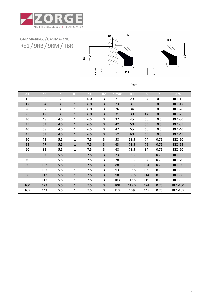

GAMMA-RINGS/ GAMMA-RINGE RE1 / 9RB/ 9RM/ TBR



| d1  | d2  | $\mathbf b$    | <b>B1</b>    | b1  | <b>B2</b> | $d$ max | D1    | D <sub>2</sub> | n.   | Art.          |
|-----|-----|----------------|--------------|-----|-----------|---------|-------|----------------|------|---------------|
| 15  | 32  | 4              | 1            | 6.0 | 3         | 21      | 29    | 34             | 0.5  | RE1-15        |
| 17  | 34  | $\overline{4}$ | $\mathbf{1}$ | 6.0 | 3         | 23      | 31    | 36             | 0.5  | RE1-17        |
| 20  | 37  | 4              | 1            | 6.0 | 3         | 26      | 34    | 39             | 0.5  | RE1-20        |
| 25  | 42  | $\overline{4}$ | $\mathbf{1}$ | 6.0 | 3         | 31      | 39    | 44             | 0.5  | <b>RE1-25</b> |
| 30  | 48  | 4.5            | 1            | 6.5 | 3         | 37      | 45    | 50             | 0.5  | RE1-30        |
| 35  | 53  | 4.5            | $\mathbf{1}$ | 6.5 | 3         | 42      | 50    | 55             | 0.5  | RE1-35        |
| 40  | 58  | 4.5            | 1            | 6.5 | 3         | 47      | 55    | 60             | 0.5  | RE1-40        |
| 45  | 63  | 4.5            | $\mathbf{1}$ | 6.5 | 3         | 52      | 60    | 65             | 0.5  | <b>RE1-45</b> |
| 50  | 72  | 5.5            | 1            | 7.5 | 3         | 58      | 68.5  | 74             | 0.75 | RE1-50        |
| 55  | 77  | 5.5            | $\mathbf{1}$ | 7.5 | 3         | 63      | 73.5  | 79             | 0.75 | RE1-55        |
| 60  | 82  | 5.5            | 1            | 7.5 | 3         | 68      | 78.5  | 84             | 0.75 | RE1-60        |
| 65  | 87  | 5.5            | $\mathbf{1}$ | 7.5 | 3         | 73      | 83.5  | 89             | 0.75 | RE1-65        |
| 70  | 92  | 5.5            | $\mathbf{1}$ | 7.5 | 3         | 78      | 88.5  | 94             | 0.75 | RE1-70        |
| 80  | 102 | 5.5            | $\mathbf{1}$ | 7.5 | 3         | 88      | 98.5  | 104            | 0.75 | RE1-80        |
| 85  | 107 | 5.5            | 1            | 7.5 | 3         | 93      | 103.5 | 109            | 0.75 | RE1-85        |
| 90  | 112 | 5.5            | $\mathbf{1}$ | 7.5 | 3         | 98      | 108.5 | 114            | 0.75 | RE1-90        |
| 95  | 117 | 5.5            | $\mathbf{1}$ | 7.5 | 3         | 103     | 113.5 | 119            | 0.75 | RE1-95        |
| 100 | 122 | 5.5            | $\mathbf{1}$ | 7.5 | 3         | 108     | 118.5 | 124            | 0.75 | RE1-100       |
| 105 | 143 | 5.5            | 1            | 7.5 | 3         | 113     | 139   | 145            | 0.75 | RE1-105       |